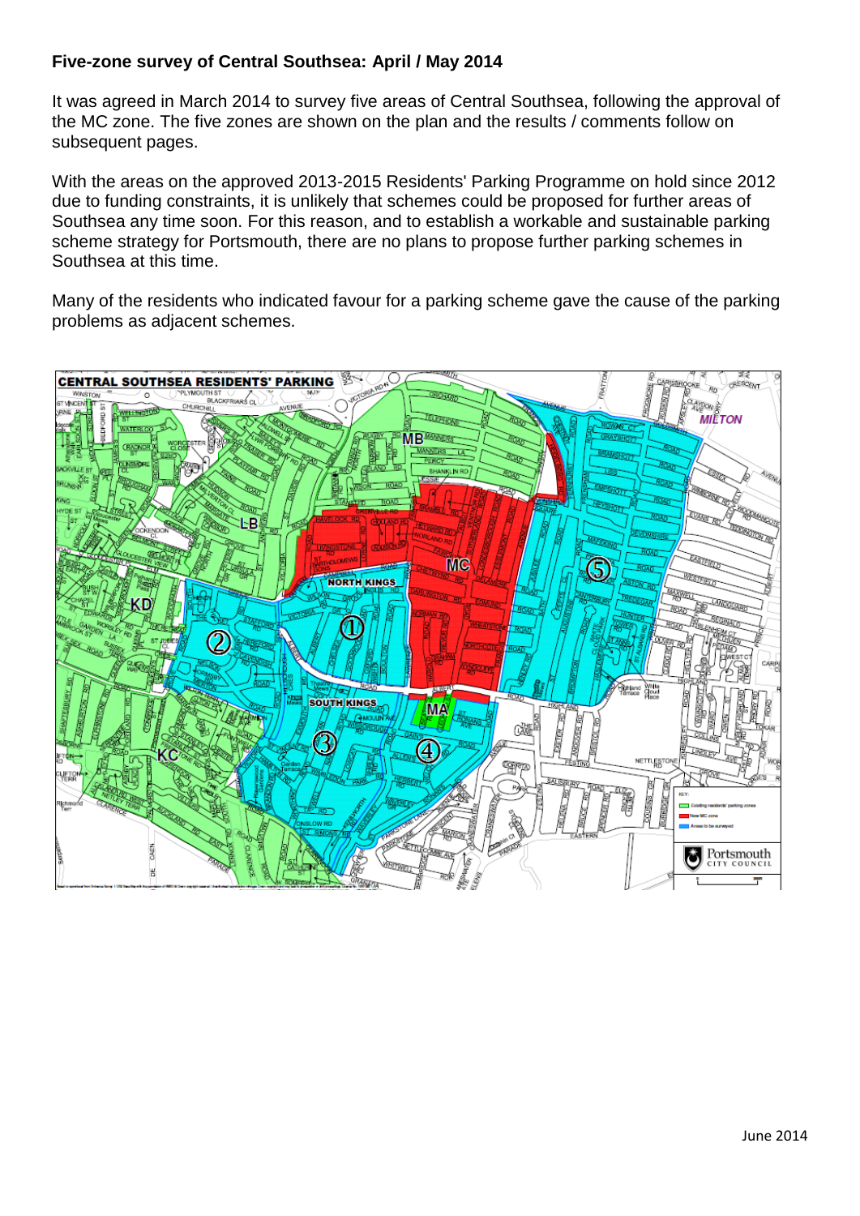### **Five-zone survey of Central Southsea: April / May 2014**

It was agreed in March 2014 to survey five areas of Central Southsea, following the approval of the MC zone. The five zones are shown on the plan and the results / comments follow on subsequent pages.

With the areas on the approved 2013-2015 Residents' Parking Programme on hold since 2012 due to funding constraints, it is unlikely that schemes could be proposed for further areas of Southsea any time soon. For this reason, and to establish a workable and sustainable parking scheme strategy for Portsmouth, there are no plans to propose further parking schemes in Southsea at this time.

Many of the residents who indicated favour for a parking scheme gave the cause of the parking problems as adjacent schemes.

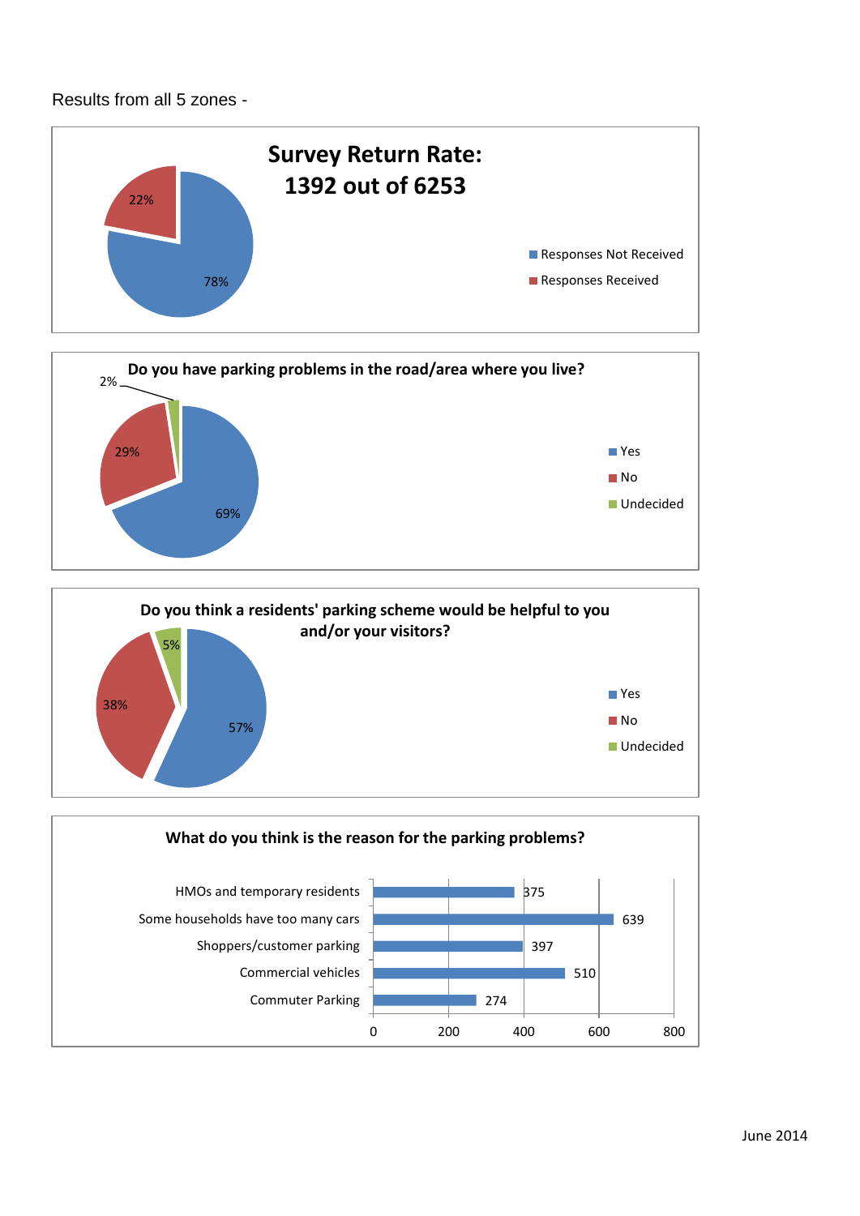### Results from all 5 zones -







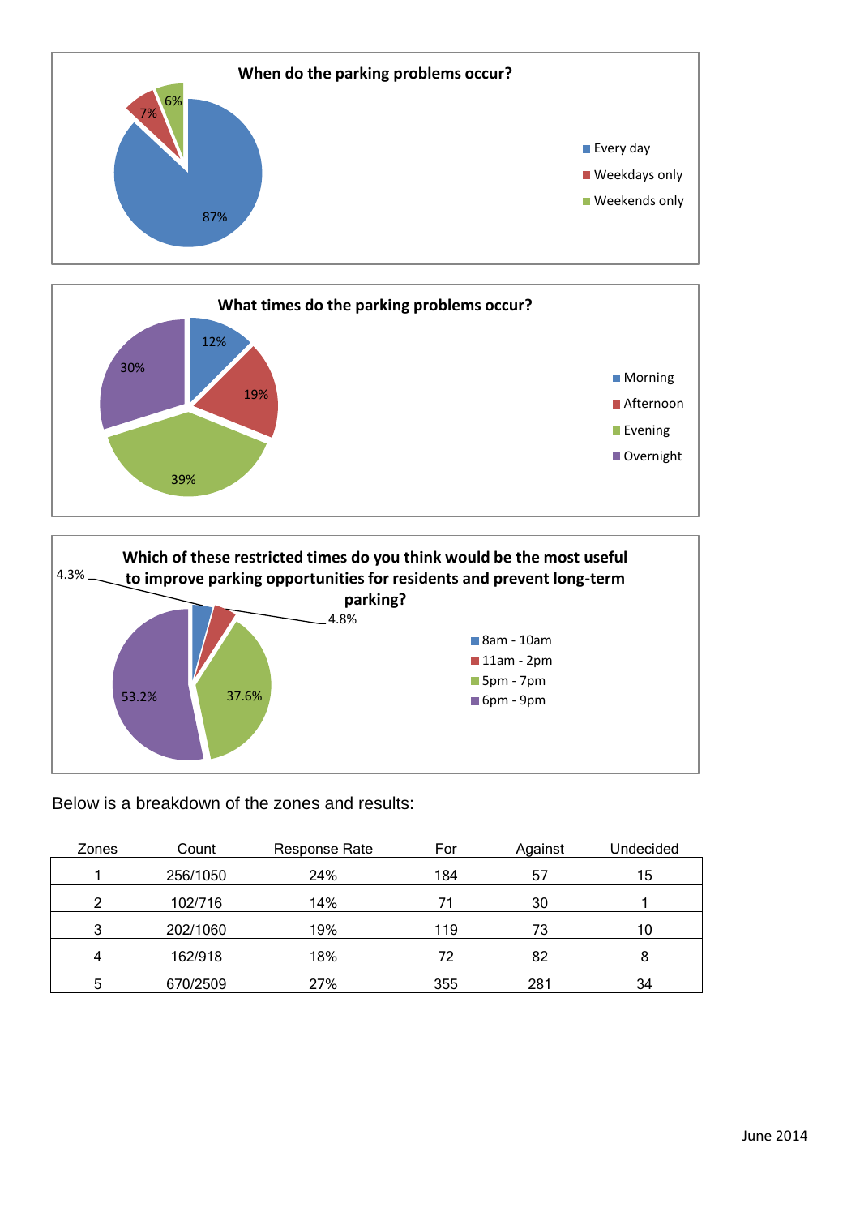





Below is a breakdown of the zones and results:

| Zones | Count    | Response Rate | For | Against | Undecided |
|-------|----------|---------------|-----|---------|-----------|
|       | 256/1050 | 24%           | 184 | 57      | 15        |
| റ     | 102/716  | 14%           |     | 30      |           |
| 3     | 202/1060 | 19%           | 119 | 73      | 10        |
|       | 162/918  | 18%           | 72  | 82      | 8         |
| 5     | 670/2509 | 27%           | 355 | 281     | 34        |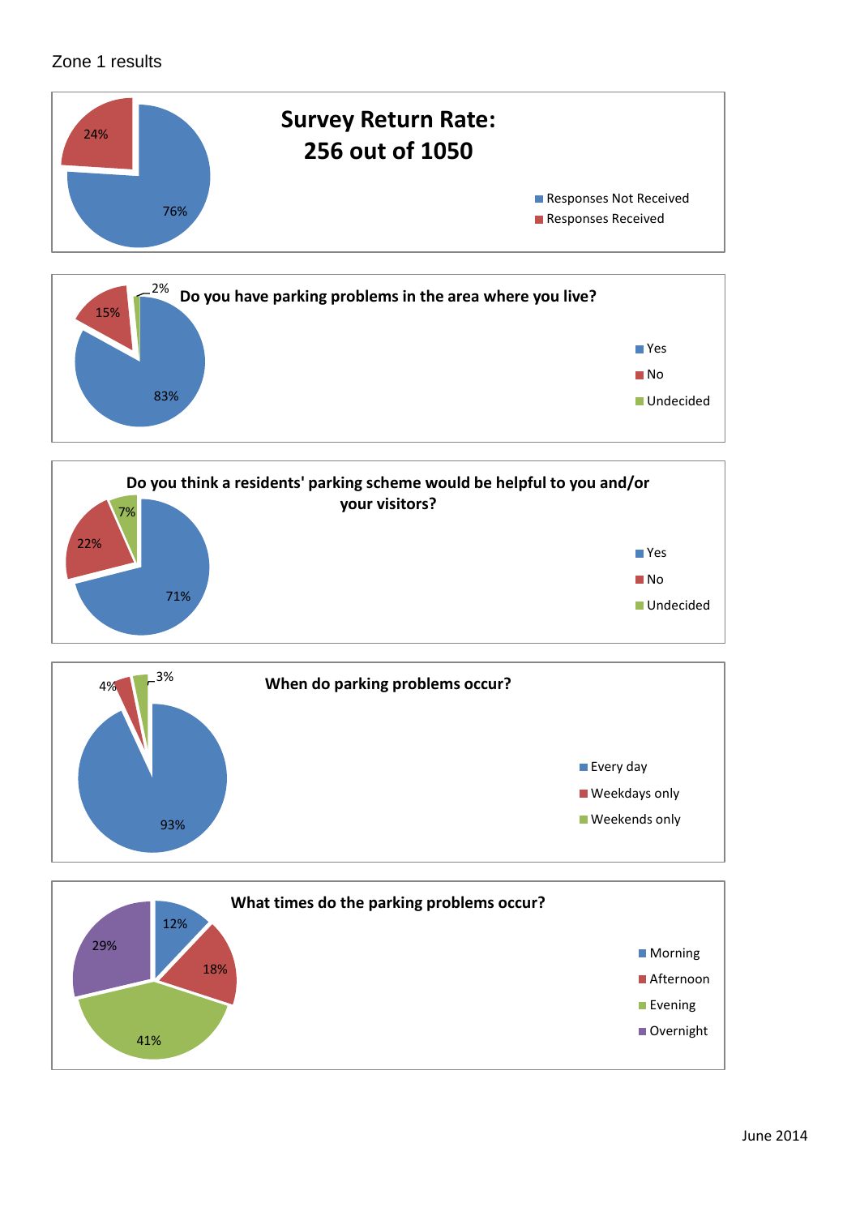## Zone 1 results









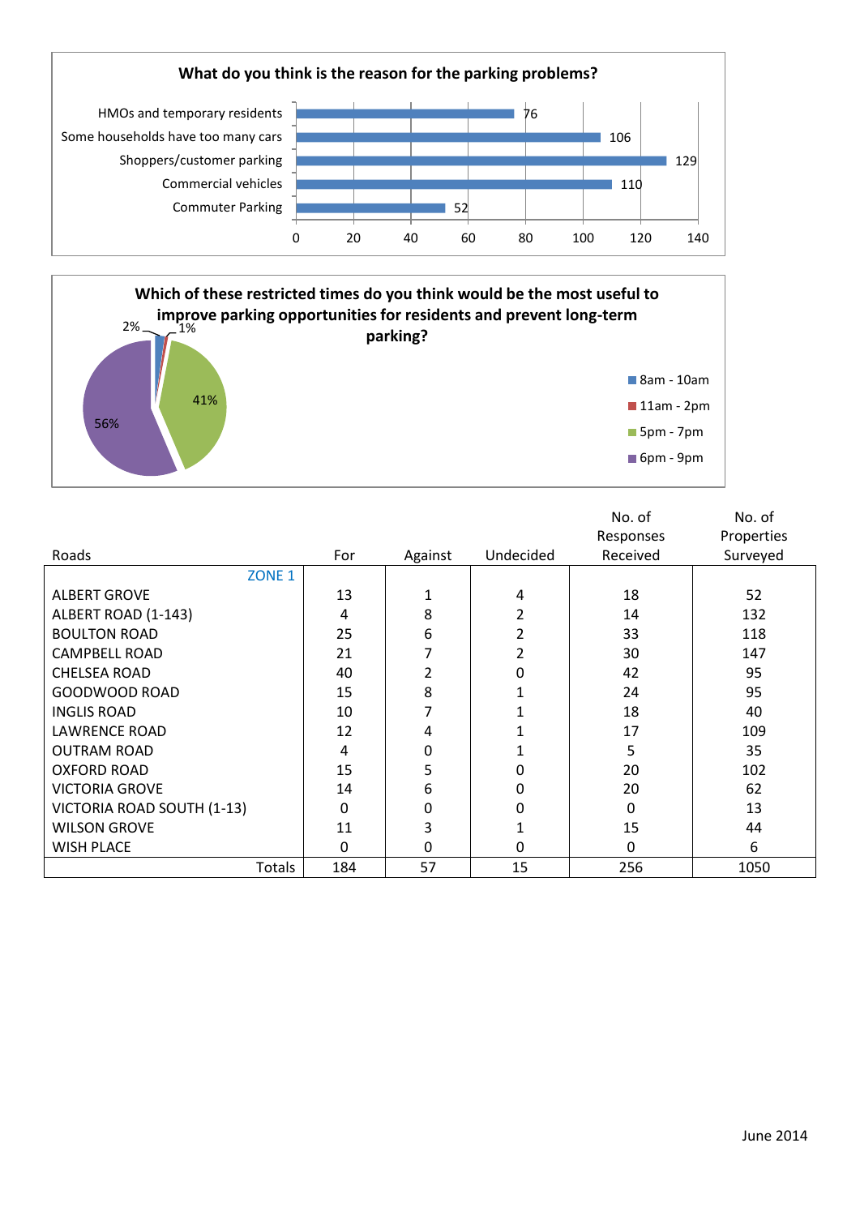



| Roads                      | For      | Against  | Undecided | No. of<br>Responses<br>Received | No. of<br>Properties<br>Surveyed |
|----------------------------|----------|----------|-----------|---------------------------------|----------------------------------|
| ZONE <sub>1</sub>          |          |          |           |                                 |                                  |
| <b>ALBERT GROVE</b>        | 13       |          | 4         | 18                              | 52                               |
| ALBERT ROAD (1-143)        | 4        | 8        | 2         | 14                              | 132                              |
| <b>BOULTON ROAD</b>        | 25       | 6        | 2         | 33                              | 118                              |
| <b>CAMPBELL ROAD</b>       | 21       |          |           | 30                              | 147                              |
| <b>CHELSEA ROAD</b>        | 40       | 2        | 0         | 42                              | 95                               |
| GOODWOOD ROAD              | 15       | 8        |           | 24                              | 95                               |
| <b>INGLIS ROAD</b>         | 10       |          |           | 18                              | 40                               |
| <b>LAWRENCE ROAD</b>       | 12       | 4        |           | 17                              | 109                              |
| <b>OUTRAM ROAD</b>         | 4        | 0        |           | 5                               | 35                               |
| <b>OXFORD ROAD</b>         | 15       | 5        | $\Omega$  | 20                              | 102                              |
| <b>VICTORIA GROVE</b>      | 14       | 6        | 0         | 20                              | 62                               |
| VICTORIA ROAD SOUTH (1-13) | 0        | 0        | 0         | 0                               | 13                               |
| <b>WILSON GROVE</b>        | 11       | 3        |           | 15                              | 44                               |
| <b>WISH PLACE</b>          | $\Omega$ | $\Omega$ | $\Omega$  | 0                               | 6                                |
| Totals                     | 184      | 57       | 15        | 256                             | 1050                             |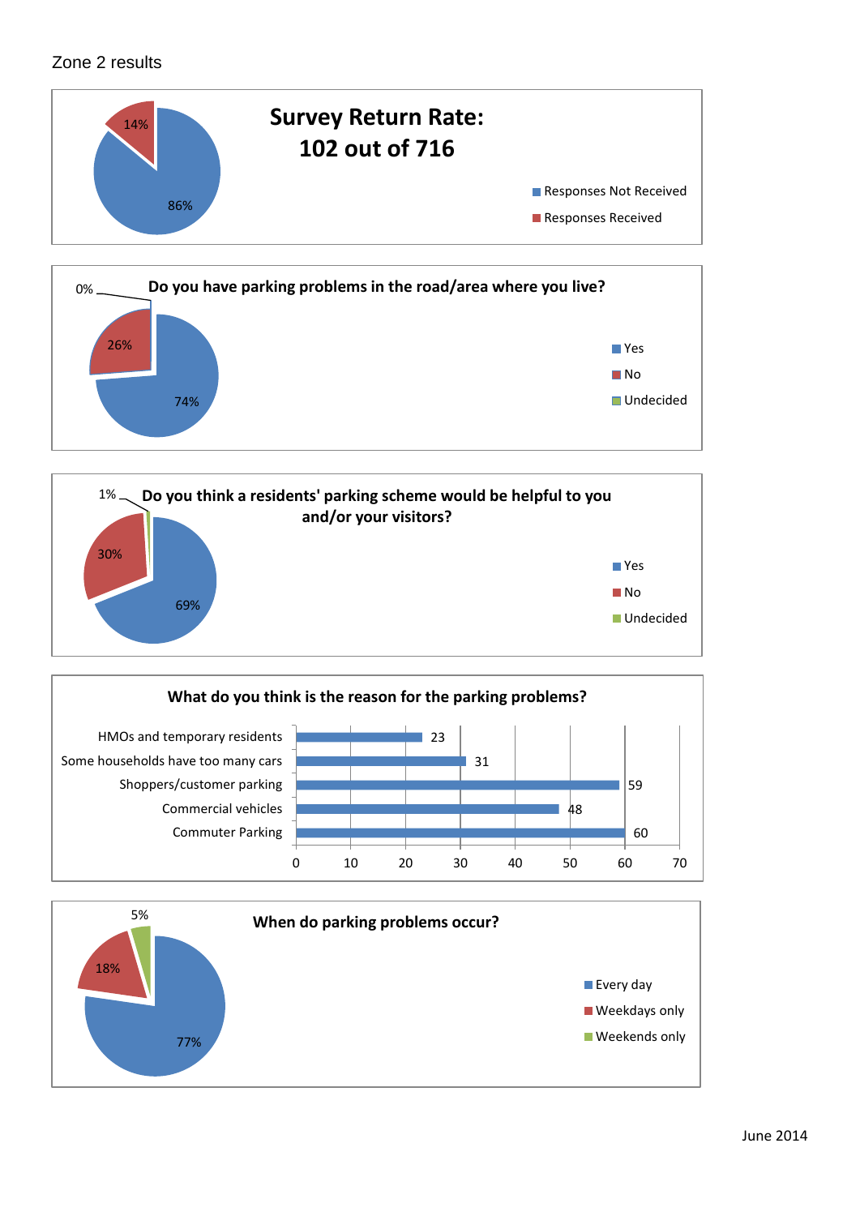## Zone 2 results









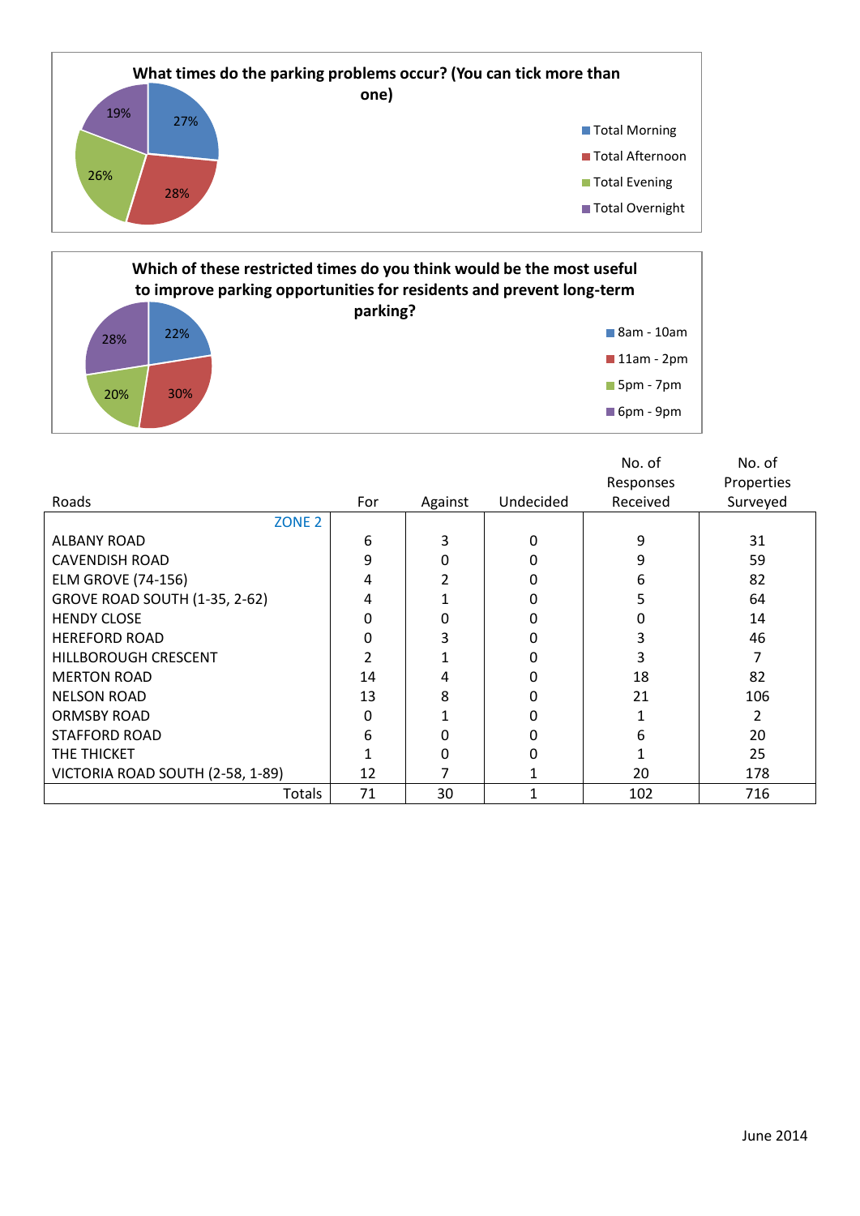

#### 22% 28% **Which of these restricted times do you think would be the most useful to improve parking opportunities for residents and prevent long-term parking?** 8am - 10am **11am - 2pm**

20% 30%

5pm - 7pm

6pm - 9pm

|                                      |     |          |           | No. of    | No. of     |
|--------------------------------------|-----|----------|-----------|-----------|------------|
|                                      |     |          |           | Responses | Properties |
| Roads                                | For | Against  | Undecided | Received  | Surveyed   |
| ZONE <sub>2</sub>                    |     |          |           |           |            |
| <b>ALBANY ROAD</b>                   | 6   | 3        | 0         | 9         | 31         |
| <b>CAVENDISH ROAD</b>                | 9   | 0        |           | 9         | 59         |
| <b>ELM GROVE (74-156)</b>            | 4   |          | 0         | 6         | 82         |
| <b>GROVE ROAD SOUTH (1-35, 2-62)</b> | 4   |          | 0         | 5         | 64         |
| <b>HENDY CLOSE</b>                   | 0   | $\Omega$ | O         | O         | 14         |
| <b>HEREFORD ROAD</b>                 | 0   | 3        | O         | 3         | 46         |
| HILLBOROUGH CRESCENT                 |     |          |           | 3         |            |
| <b>MERTON ROAD</b>                   | 14  | 4        |           | 18        | 82         |
| <b>NELSON ROAD</b>                   | 13  | 8        | 0         | 21        | 106        |
| <b>ORMSBY ROAD</b>                   | 0   |          | 0         |           |            |
| <b>STAFFORD ROAD</b>                 | 6   | 0        | 0         | 6         | 20         |
| THE THICKET                          |     | 0        | ŋ         |           | 25         |
| VICTORIA ROAD SOUTH (2-58, 1-89)     | 12  |          |           | 20        | 178        |
| Totals                               | 71  | 30       |           | 102       | 716        |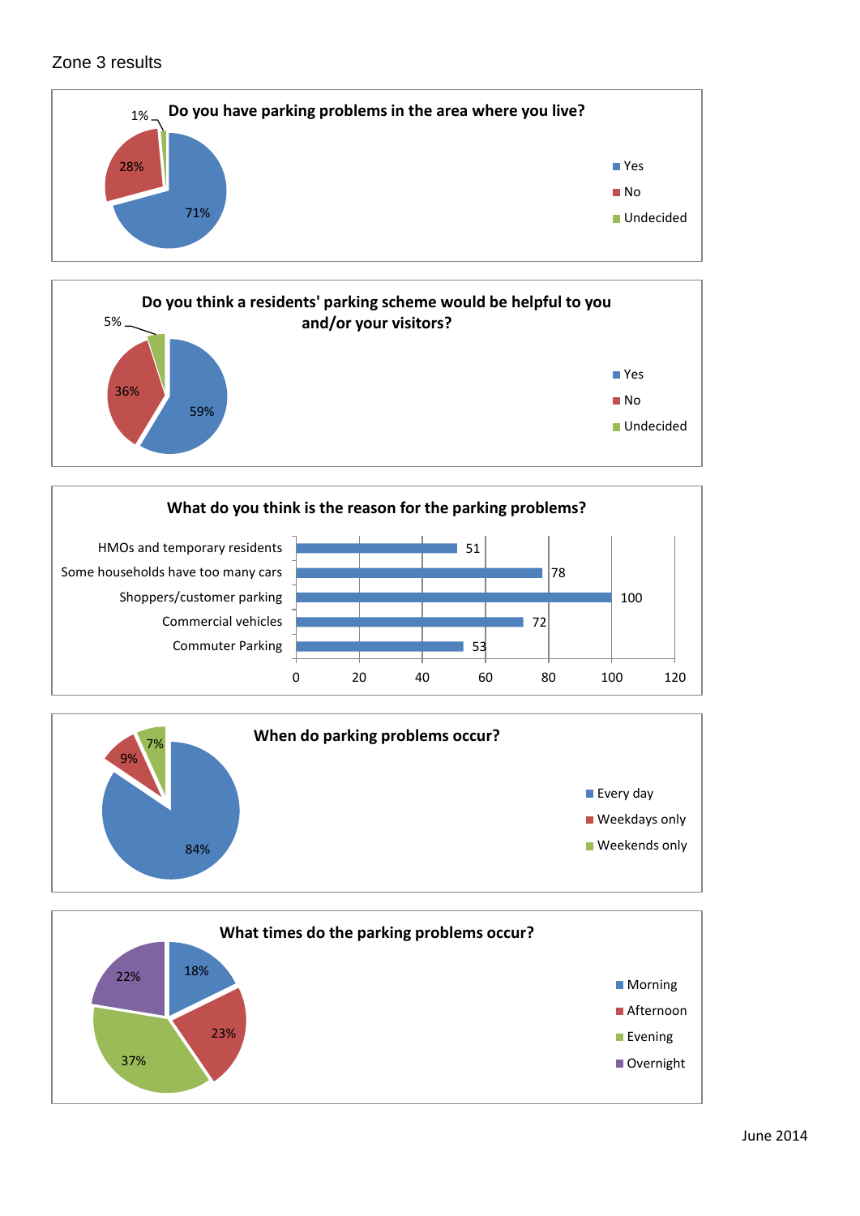## Zone 3 results









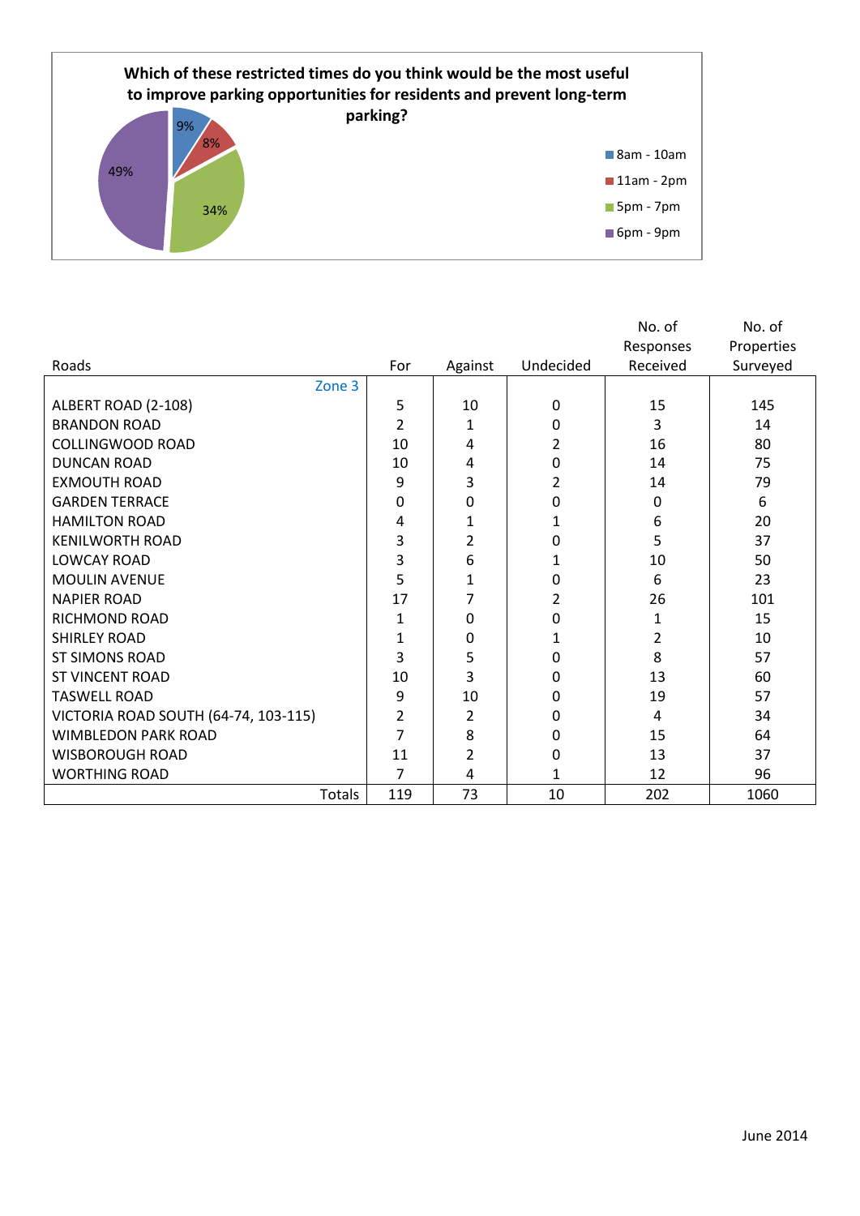

|                                      |              |         |           | No. of    | No. of     |
|--------------------------------------|--------------|---------|-----------|-----------|------------|
|                                      |              |         |           | Responses | Properties |
| Roads                                | For          | Against | Undecided | Received  | Surveyed   |
| Zone 3                               |              |         |           |           |            |
| ALBERT ROAD (2-108)                  | 5            | 10      | 0         | 15        | 145        |
| <b>BRANDON ROAD</b>                  | 2            | 1       | 0         | 3         | 14         |
| <b>COLLINGWOOD ROAD</b>              | 10           | 4       | 2         | 16        | 80         |
| <b>DUNCAN ROAD</b>                   | 10           | 4       | 0         | 14        | 75         |
| <b>EXMOUTH ROAD</b>                  | 9            | 3       | 2         | 14        | 79         |
| <b>GARDEN TERRACE</b>                | 0            | 0       | 0         | 0         | 6          |
| <b>HAMILTON ROAD</b>                 | 4            | 1       | 1         | 6         | 20         |
| <b>KENILWORTH ROAD</b>               | 3            | 2       | 0         | 5         | 37         |
| <b>LOWCAY ROAD</b>                   | 3            | 6       | 1         | 10        | 50         |
| <b>MOULIN AVENUE</b>                 | 5            | 1       | 0         | 6         | 23         |
| <b>NAPIER ROAD</b>                   | 17           | 7       | 2         | 26        | 101        |
| RICHMOND ROAD                        | 1            | 0       | 0         | 1         | 15         |
| <b>SHIRLEY ROAD</b>                  | $\mathbf{1}$ | 0       | 1         | 2         | 10         |
| <b>ST SIMONS ROAD</b>                | 3            | 5       | 0         | 8         | 57         |
| <b>ST VINCENT ROAD</b>               | 10           | 3       | 0         | 13        | 60         |
| <b>TASWELL ROAD</b>                  | 9            | 10      | 0         | 19        | 57         |
| VICTORIA ROAD SOUTH (64-74, 103-115) | 2            | 2       | 0         | 4         | 34         |
| <b>WIMBLEDON PARK ROAD</b>           | 7            | 8       | 0         | 15        | 64         |
| <b>WISBOROUGH ROAD</b>               | 11           | 2       | 0         | 13        | 37         |
| <b>WORTHING ROAD</b>                 | 7            | 4       | 1         | 12        | 96         |
| Totals                               | 119          | 73      | 10        | 202       | 1060       |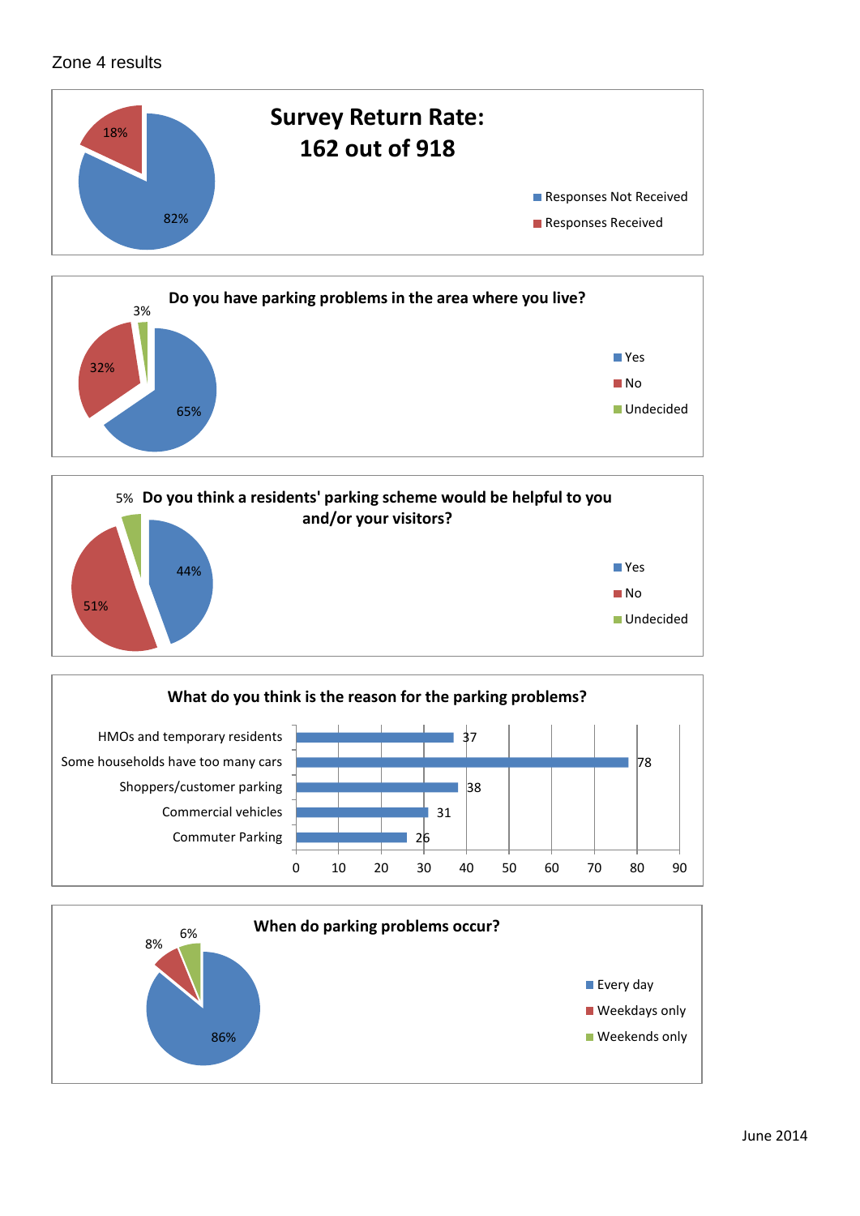## Zone 4 results









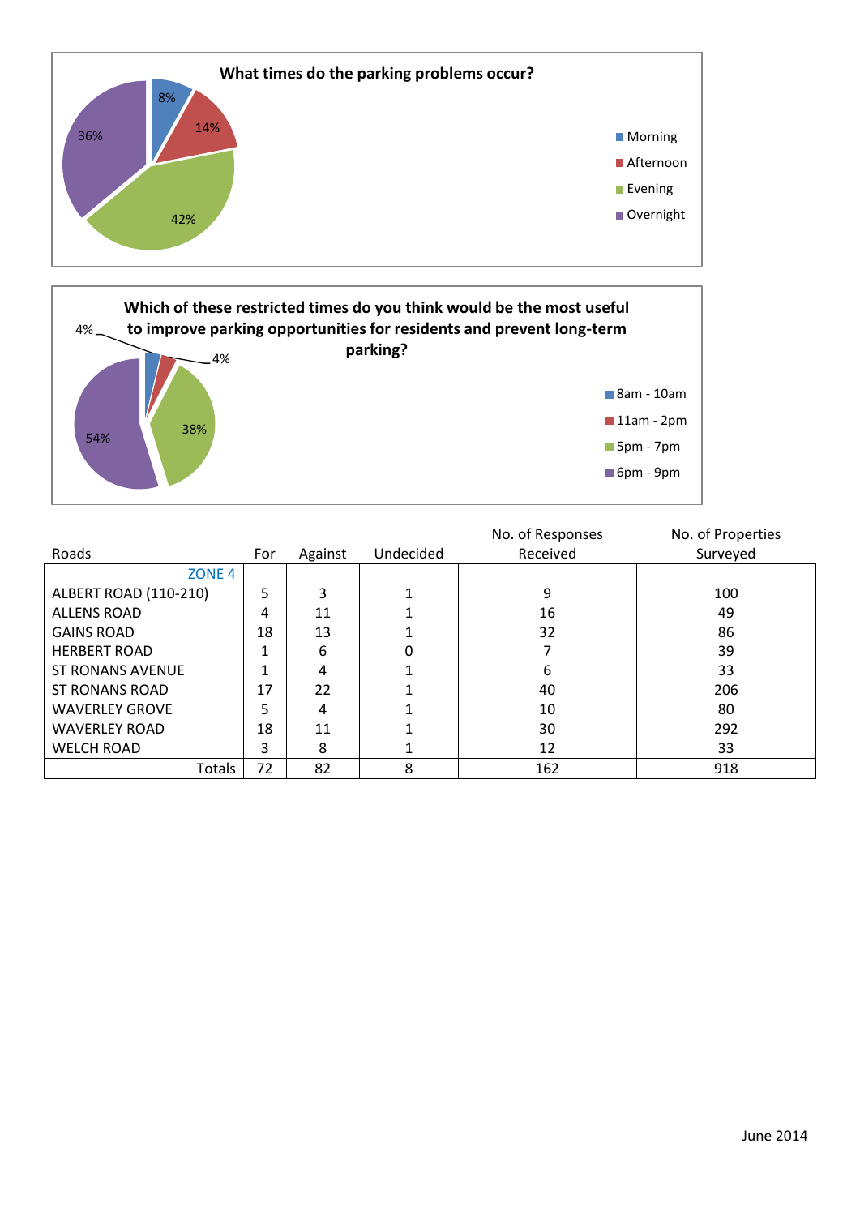



|                         |     |         |           | No. of Responses | No. of Properties |
|-------------------------|-----|---------|-----------|------------------|-------------------|
| Roads                   | For | Against | Undecided | Received         | Surveyed          |
| ZONE <sub>4</sub>       |     |         |           |                  |                   |
| ALBERT ROAD (110-210)   | 5   | 3       |           | 9                | 100               |
| <b>ALLENS ROAD</b>      | 4   | 11      |           | 16               | 49                |
| <b>GAINS ROAD</b>       | 18  | 13      |           | 32               | 86                |
| <b>HERBERT ROAD</b>     |     | 6       |           |                  | 39                |
| <b>ST RONANS AVENUE</b> | ◢   | 4       |           | 6                | 33                |
| <b>ST RONANS ROAD</b>   | 17  | 22      |           | 40               | 206               |
| <b>WAVERLEY GROVE</b>   | 5   | 4       |           | 10               | 80                |
| <b>WAVERLEY ROAD</b>    | 18  | 11      |           | 30               | 292               |
| <b>WELCH ROAD</b>       | 3   | 8       |           | 12               | 33                |
| Totals                  | 72  | 82      | 8         | 162              | 918               |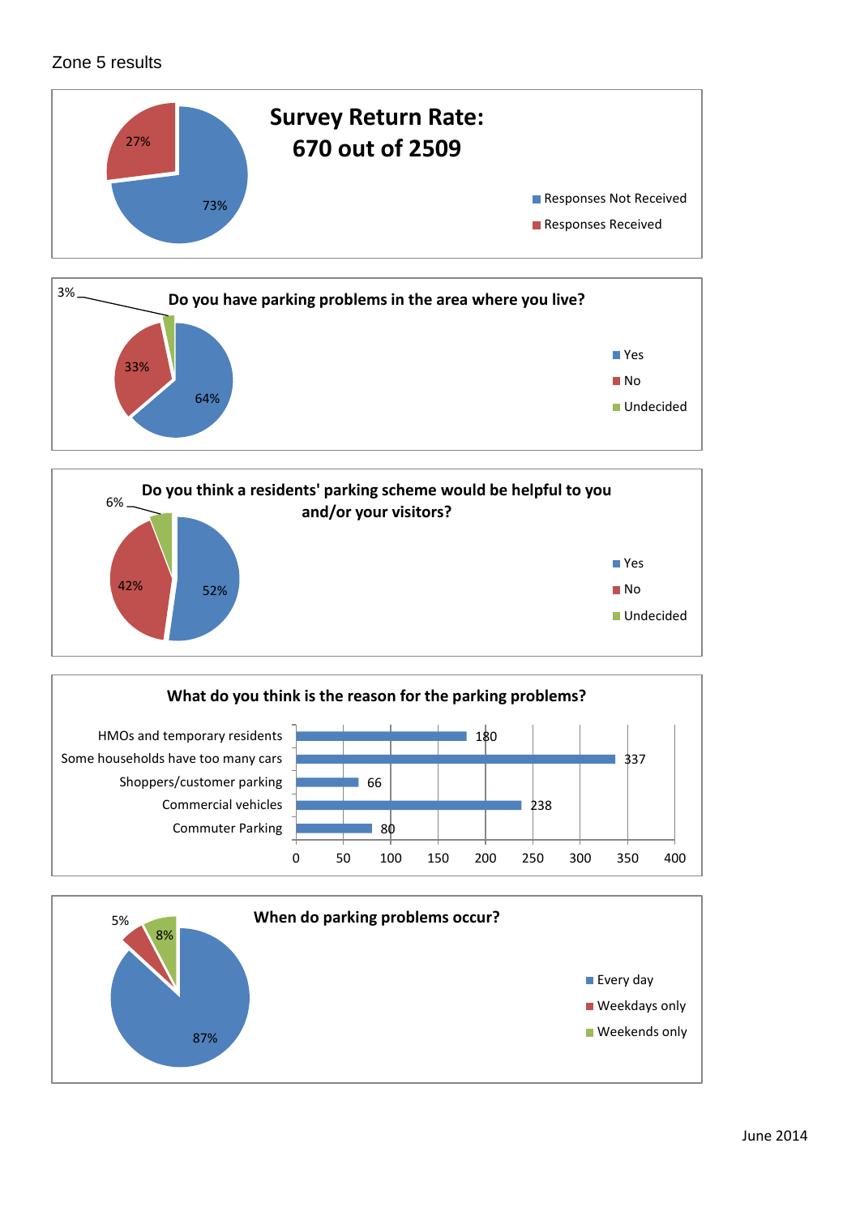# Zone 5 results









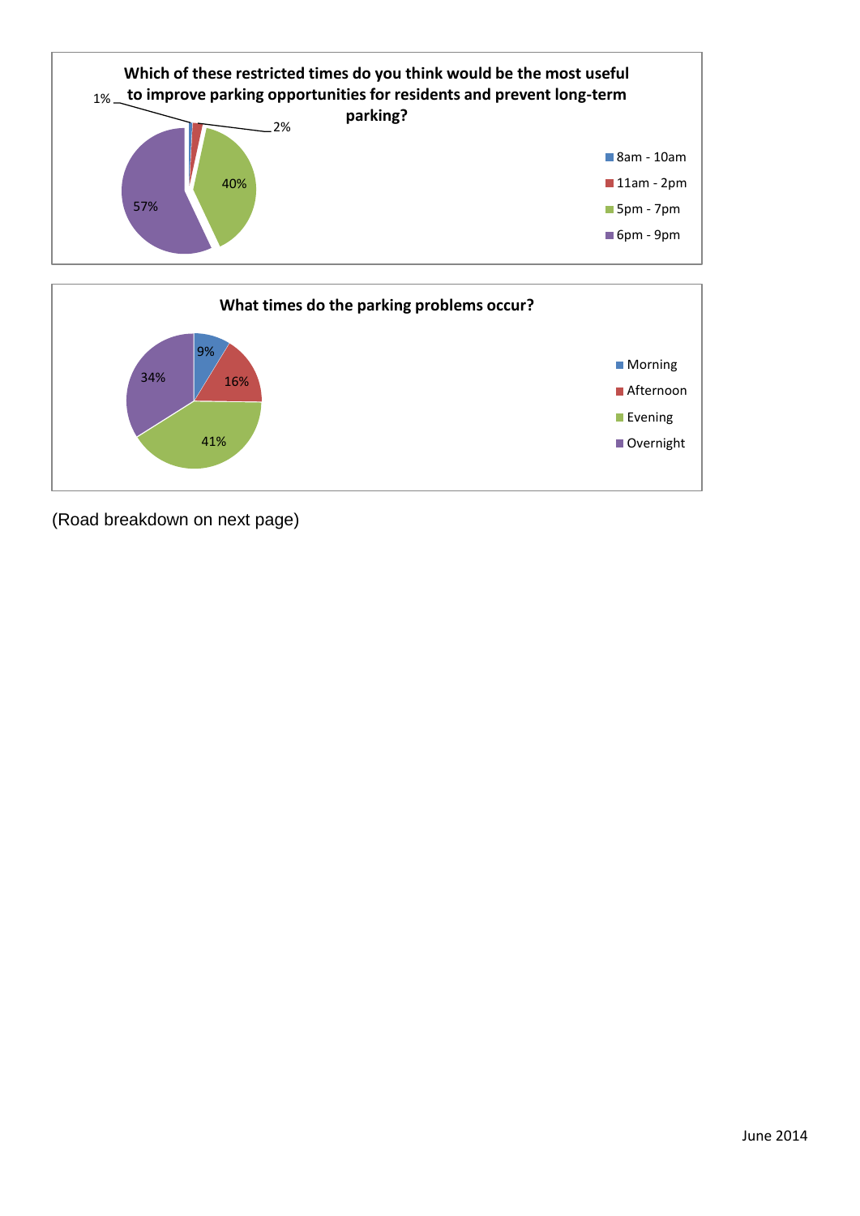



(Road breakdown on next page)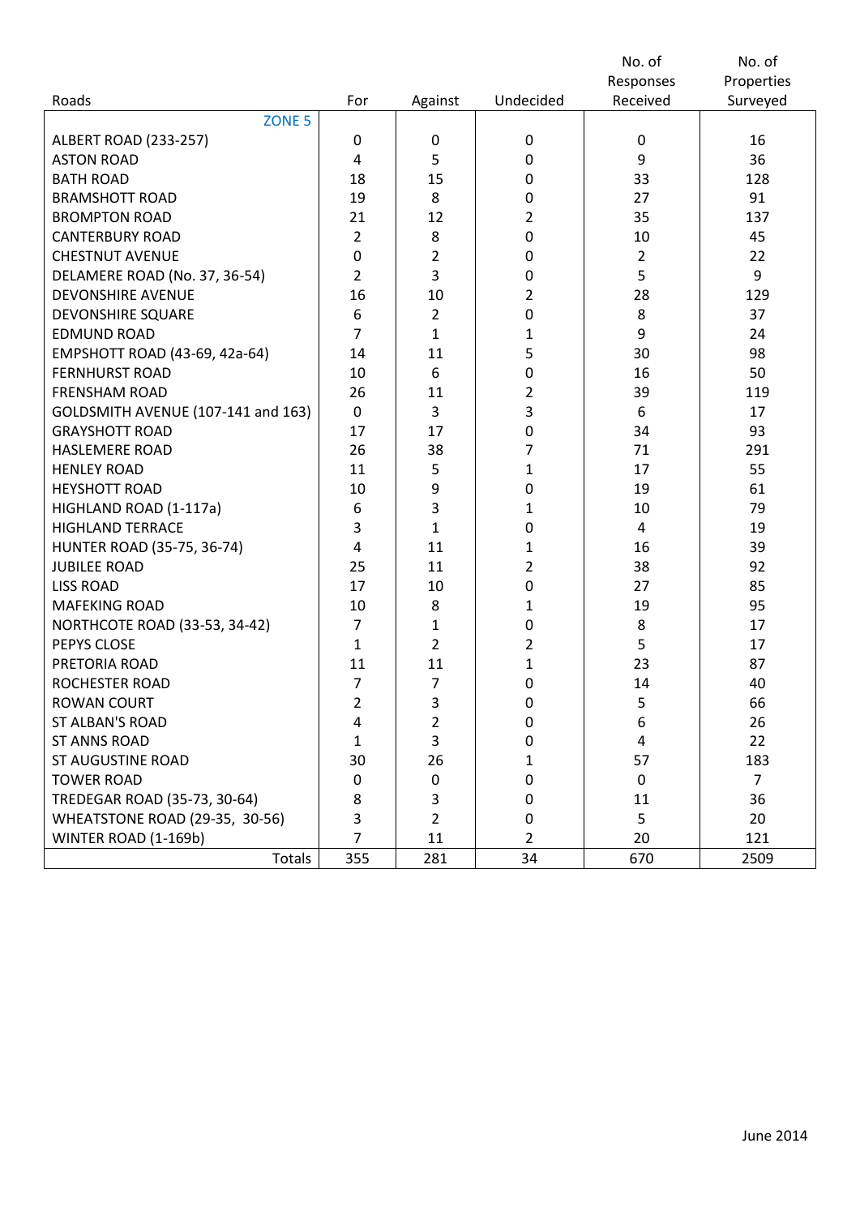|                                    |                  |                |                  | No. of         | No. of         |
|------------------------------------|------------------|----------------|------------------|----------------|----------------|
|                                    |                  |                |                  | Responses      | Properties     |
| Roads                              | For              | Against        | Undecided        | Received       | Surveyed       |
| ZONE <sub>5</sub>                  |                  |                |                  |                |                |
| <b>ALBERT ROAD (233-257)</b>       | $\pmb{0}$        | 0              | 0                | $\mathbf 0$    | 16             |
| <b>ASTON ROAD</b>                  | $\overline{4}$   | 5              | $\boldsymbol{0}$ | 9              | 36             |
| <b>BATH ROAD</b>                   | 18               | 15             | 0                | 33             | 128            |
| <b>BRAMSHOTT ROAD</b>              | 19               | 8              | 0                | 27             | 91             |
| <b>BROMPTON ROAD</b>               | 21               | 12             | $\overline{2}$   | 35             | 137            |
| <b>CANTERBURY ROAD</b>             | $\overline{2}$   | 8              | 0                | 10             | 45             |
| <b>CHESTNUT AVENUE</b>             | $\pmb{0}$        | $\overline{2}$ | 0                | $\overline{2}$ | 22             |
| DELAMERE ROAD (No. 37, 36-54)      | $\overline{2}$   | 3              | 0                | 5              | 9              |
| <b>DEVONSHIRE AVENUE</b>           | 16               | 10             | $\overline{2}$   | 28             | 129            |
| <b>DEVONSHIRE SQUARE</b>           | 6                | $\overline{2}$ | 0                | 8              | 37             |
| <b>EDMUND ROAD</b>                 | $\overline{7}$   | $\mathbf{1}$   | 1                | 9              | 24             |
| EMPSHOTT ROAD (43-69, 42a-64)      | 14               | 11             | 5                | 30             | 98             |
| <b>FERNHURST ROAD</b>              | 10               | 6              | 0                | 16             | 50             |
| <b>FRENSHAM ROAD</b>               | 26               | 11             | $\overline{2}$   | 39             | 119            |
| GOLDSMITH AVENUE (107-141 and 163) | $\mathbf 0$      | 3              | 3                | 6              | 17             |
| <b>GRAYSHOTT ROAD</b>              | 17               | 17             | 0                | 34             | 93             |
| <b>HASLEMERE ROAD</b>              | 26               | 38             | 7                | 71             | 291            |
| <b>HENLEY ROAD</b>                 | 11               | 5              | $\mathbf{1}$     | 17             | 55             |
| <b>HEYSHOTT ROAD</b>               | 10               | 9              | 0                | 19             | 61             |
| HIGHLAND ROAD (1-117a)             | $\boldsymbol{6}$ | 3              | 1                | 10             | 79             |
| <b>HIGHLAND TERRACE</b>            | 3                | $\mathbf{1}$   | 0                | 4              | 19             |
| HUNTER ROAD (35-75, 36-74)         | $\overline{4}$   | 11             | 1                | 16             | 39             |
| <b>JUBILEE ROAD</b>                | 25               | 11             | 2                | 38             | 92             |
| <b>LISS ROAD</b>                   | 17               | 10             | 0                | 27             | 85             |
| <b>MAFEKING ROAD</b>               | 10               | 8              | $\mathbf{1}$     | 19             | 95             |
| NORTHCOTE ROAD (33-53, 34-42)      | $\overline{7}$   | 1              | 0                | 8              | 17             |
| PEPYS CLOSE                        | $\mathbf 1$      | $\overline{2}$ | 2                | 5              | 17             |
| PRETORIA ROAD                      | 11               | 11             | $\mathbf{1}$     | 23             | 87             |
| ROCHESTER ROAD                     | $\overline{7}$   | $\overline{7}$ | 0                | 14             | 40             |
| ROWAN COURT                        | 2                | 3              | $\pmb{0}$        | $\mathsf S$    | 66             |
| <b>ST ALBAN'S ROAD</b>             | 4                | $\overline{2}$ | 0                | 6              | 26             |
| <b>ST ANNS ROAD</b>                | 1                | 3              | 0                | 4              | 22             |
| <b>ST AUGUSTINE ROAD</b>           | 30               | 26             | 1                | 57             | 183            |
| <b>TOWER ROAD</b>                  | 0                | 0              | 0                | 0              | $\overline{7}$ |
| TREDEGAR ROAD (35-73, 30-64)       | 8                | 3              | 0                | 11             | 36             |
| WHEATSTONE ROAD (29-35, 30-56)     | 3                | 2              | 0                | 5              | 20             |
| WINTER ROAD (1-169b)               | 7                | 11             | $\overline{2}$   | 20             | 121            |
| Totals                             | 355              | 281            | 34               | 670            | 2509           |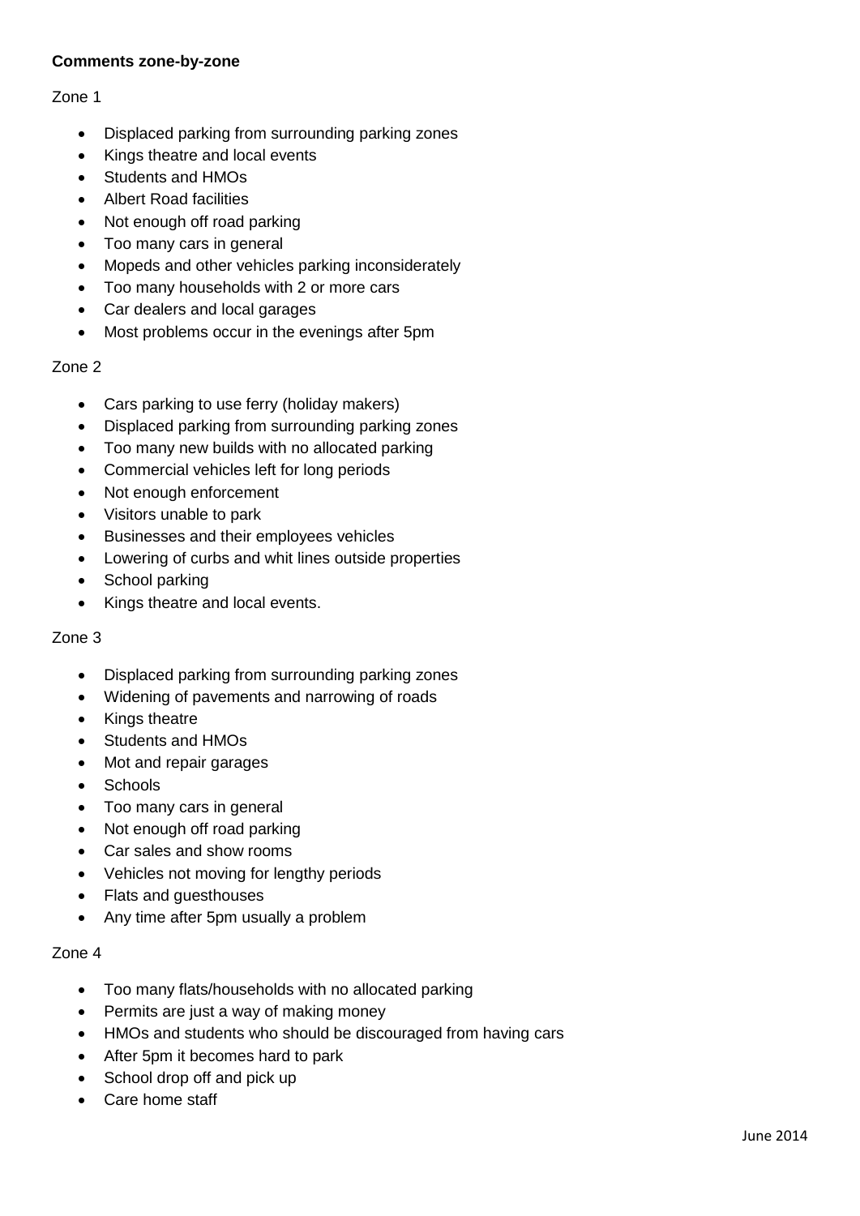### **Comments zone-by-zone**

#### Zone 1

- Displaced parking from surrounding parking zones
- Kings theatre and local events
- Students and HMOs
- Albert Road facilities
- Not enough off road parking
- Too many cars in general
- Mopeds and other vehicles parking inconsiderately
- Too many households with 2 or more cars
- Car dealers and local garages
- Most problems occur in the evenings after 5pm

#### Zone 2

- Cars parking to use ferry (holiday makers)
- Displaced parking from surrounding parking zones
- Too many new builds with no allocated parking
- Commercial vehicles left for long periods
- Not enough enforcement
- Visitors unable to park
- Businesses and their employees vehicles
- Lowering of curbs and whit lines outside properties
- School parking
- Kings theatre and local events.

#### Zone 3

- Displaced parking from surrounding parking zones
- Widening of pavements and narrowing of roads
- Kings theatre
- Students and HMOs
- Mot and repair garages
- Schools
- Too many cars in general
- Not enough off road parking
- Car sales and show rooms
- Vehicles not moving for lengthy periods
- Flats and guesthouses
- Any time after 5pm usually a problem

#### Zone 4

- Too many flats/households with no allocated parking
- Permits are just a way of making money
- HMOs and students who should be discouraged from having cars
- After 5pm it becomes hard to park
- School drop off and pick up
- Care home staff